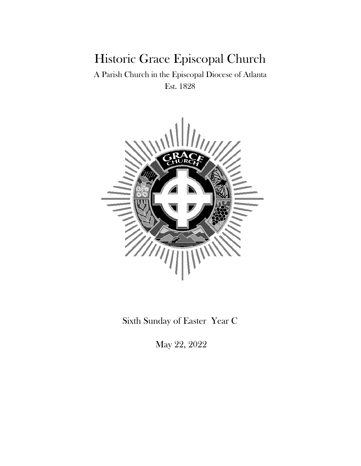# Historic Grace Episcopal Church

A Parish Church in the Episcopal Diocese of Atlanta Est. 1828



Sixth Sunday of Easter Year C

May 22, 2022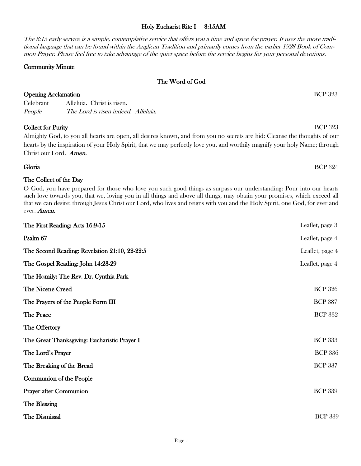#### Page 1

# Holy Eucharist Rite I 8:15AM

The 8:15 early service is a simple, contemplative service that offers you a time and space for prayer. It uses the more traditional language that can be found within the Anglican Tradition and primarily comes from the earlier 1928 Book of Common Prayer. Please feel free to take advantage of the quiet space before the service begins for your personal devotions.

### Community Minute

# The Word of God

# **Opening Acclamation** BCP 323

| <b>Celebrant</b> | Alleluia. Christ is risen.         |
|------------------|------------------------------------|
| People           | The Lord is risen indeed. Allehua. |

# **Collect for Purity BCP 323**

Almighty God, to you all hearts are open, all desires known, and from you no secrets are hid: Cleanse the thoughts of our hearts by the inspiration of your Holy Spirit, that we may perfectly love you, and worthily magnify your holy Name; through Christ our Lord. Amen.

# Gloria BCP 324

# The Collect of the Day

O God, you have prepared for those who love you such good things as surpass our understanding: Pour into our hearts such love towards you, that we, loving you in all things and above all things, may obtain your promises, which exceed all that we can desire; through Jesus Christ our Lord, who lives and reigns with you and the Holy Spirit, one God, for ever and ever. Amen.

| The First Reading: Acts 16:9-15               | Leaflet, page 3 |
|-----------------------------------------------|-----------------|
| Psalm 67                                      | Leaflet, page 4 |
| The Second Reading: Revelation 21:10, 22-22:5 | Leaflet, page 4 |
| The Gospel Reading: John 14:23-29             | Leaflet, page 4 |
| The Homily: The Rev. Dr. Cynthia Park         |                 |
| The Nicene Creed                              | <b>BCP 326</b>  |
| The Prayers of the People Form III            | <b>BCP 387</b>  |
| The Peace                                     | <b>BCP 332</b>  |
| The Offertory                                 |                 |
| The Great Thanksgiving: Eucharistic Prayer I  | <b>BCP 333</b>  |
| The Lord's Prayer                             | <b>BCP 336</b>  |
| The Breaking of the Bread                     | <b>BCP 337</b>  |
| <b>Communion of the People</b>                |                 |
| <b>Prayer after Communion</b>                 | <b>BCP 339</b>  |
| The Blessing                                  |                 |
| The Dismissal                                 | <b>BCP 339</b>  |
|                                               |                 |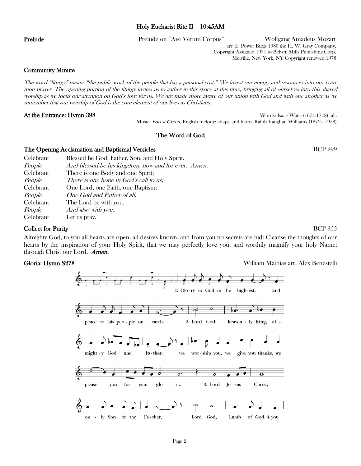# Holy Eucharist Rite II 10:45AM

Prelude Prelude Prelude on "Ave Verum Corpus" Wolfgang Amadeus Mozart arr. E. Power Biggs 1980 the H. W. Gray Company, Copyright Assigned 1971 to Belwin Mills Publishing Corp, Melville, New York, NY Copyright renewed 1978

# Community Minute

The word "liturgy" means "the public work of the people that has a personal cost." We invest our energy and resources into our common prayer. The opening portion of the liturgy invites us to gather in this space at this time, bringing all of ourselves into this shared worship as we focus our attention on God's love for us. We are made more aware of our union with God and with one another as we remember that our worship of God is the core element of our lives as Christians.

# At the Entrance: Hymn 398 Words: Isaac Watts (1674-1748), alt.

Music: Forest Green, English melody; adapt. and harm. Ralph Vaughan Williams (1872– 1958)

# The Word of God

### The Opening Acclamation and Baptismal Versicles BCP 209

| Celebrant | Blessed be God: Father, Son, and Holy Spirit.       |
|-----------|-----------------------------------------------------|
| People    | And blessed be his kingdom, now and for ever. Amen. |
| Celebrant | There is one Body and one Spirit;                   |
| People    | There is one hope in God's call to us;              |
| Celebrant | One Lord, one Faith, one Baptism;                   |
| People    | One God and Father of all.                          |
| Celebrant | The Lord be with you.                               |
| People    | And also with you.                                  |
| Celebrant | Let us pray.                                        |

# **Collect for Purity BCP 355**

Almighty God, to you all hearts are open, all desires known, and from you no secrets are hid: Cleanse the thoughts of our hearts by the inspiration of your Holy Spirit, that we may perfectly love you, and worthily magnify your holy Name; through Christ our Lord. Amen.

# Gloria: Hymn S278 William Mathias arr. Alex Benestelli

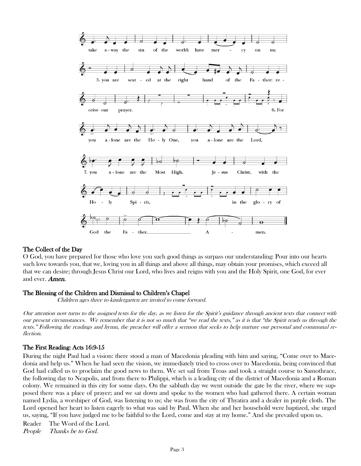

### The Collect of the Day

O God, you have prepared for those who love you such good things as surpass our understanding: Pour into our hearts such love towards you, that we, loving you in all things and above all things, may obtain your promises, which exceed all that we can desire; through Jesus Christ our Lord, who lives and reigns with you and the Holy Spirit, one God, for ever and ever. Amen.

### The Blessing of the Children and Dismissal to Children's Chapel

Children ages three to kindergarten are invited to come forward.

Our attention now turns to the assigned texts for the day, as we listen for the Spirit's guidance through ancient texts that connect with our present circumstances. We remember that it is not so much that "we read the texts," as it is that "the Spirit reads us through the texts." Following the readings and hymn, the preacher will offer a sermon that seeks to help nurture our personal and communal reflection.

### The First Reading: Acts 16:9-15

During the night Paul had a vision: there stood a man of Macedonia pleading with him and saying, "Come over to Macedonia and help us." When he had seen the vision, we immediately tried to cross over to Macedonia, being convinced that God had called us to proclaim the good news to them. We set sail from Troas and took a straight course to Samothrace, the following day to Neapolis, and from there to Philippi, which is a leading city of the district of Macedonia and a Roman colony. We remained in this city for some days. On the sabbath day we went outside the gate by the river, where we supposed there was a place of prayer; and we sat down and spoke to the women who had gathered there. A certain woman named Lydia, a worshiper of God, was listening to us; she was from the city of Thyatira and a dealer in purple cloth. The Lord opened her heart to listen eagerly to what was said by Paul. When she and her household were baptized, she urged us, saying, "If you have judged me to be faithful to the Lord, come and stay at my home." And she prevailed upon us.

Reader The Word of the Lord.

People Thanks be to God.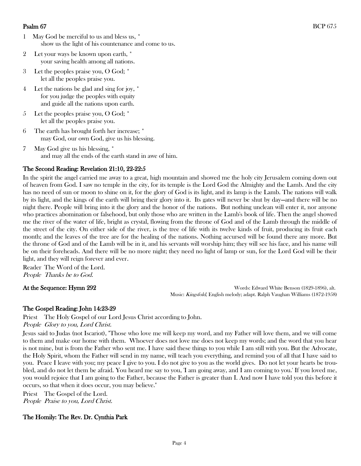- 1 May God be merciful to us and bless us, \* show us the light of his countenance and come to us.
- 2 Let your ways be known upon earth, \* your saving health among all nations.
- 3 Let the peoples praise you, O God; \* let all the peoples praise you.
- 4 Let the nations be glad and sing for joy, \* for you judge the peoples with equity and guide all the nations upon earth.
- 5 Let the peoples praise you, O God; \* let all the peoples praise you.
- 6 The earth has brought forth her increase; \* may God, our own God, give us his blessing.
- 7 May God give us his blessing, \* and may all the ends of the earth stand in awe of him.

# The Second Reading: Revelation 21:10, 22-22:5

In the spirit the angel carried me away to a great, high mountain and showed me the holy city Jerusalem coming down out of heaven from God. I saw no temple in the city, for its temple is the Lord God the Almighty and the Lamb. And the city has no need of sun or moon to shine on it, for the glory of God is its light, and its lamp is the Lamb. The nations will walk by its light, and the kings of the earth will bring their glory into it. Its gates will never be shut by day—and there will be no night there. People will bring into it the glory and the honor of the nations. But nothing unclean will enter it, nor anyone who practices abomination or falsehood, but only those who are written in the Lamb's book of life. Then the angel showed me the river of the water of life, bright as crystal, flowing from the throne of God and of the Lamb through the middle of the street of the city. On either side of the river, is the tree of life with its twelve kinds of fruit, producing its fruit each month; and the leaves of the tree are for the healing of the nations. Nothing accursed will be found there any more. But the throne of God and of the Lamb will be in it, and his servants will worship him; they will see his face, and his name will be on their foreheads. And there will be no more night; they need no light of lamp or sun, for the Lord God will be their light, and they will reign forever and ever.

Reader The Word of the Lord. People Thanks be to God.

At the Sequence: Hymn 292 **Mateurs** 202 Words: Edward White Benson (1829-1896), alt. Music: Kingsfold, English melody; adapt. Ralph Vaughan Williams (1872-1958)

# The Gospel Reading: John 14:23-29

Priest The Holy Gospel of our Lord Jesus Christ according to John. People Glory to you, Lord Christ.

Jesus said to Judas (not Iscariot), "Those who love me will keep my word, and my Father will love them, and we will come to them and make our home with them. Whoever does not love me does not keep my words; and the word that you hear is not mine, but is from the Father who sent me. I have said these things to you while I am still with you. But the Advocate, the Holy Spirit, whom the Father will send in my name, will teach you everything, and remind you of all that I have said to you. Peace I leave with you; my peace I give to you. I do not give to you as the world gives. Do not let your hearts be troubled, and do not let them be afraid. You heard me say to you, 'I am going away, and I am coming to you.' If you loved me, you would rejoice that I am going to the Father, because the Father is greater than I. And now I have told you this before it occurs, so that when it does occur, you may believe."

Priest The Gospel of the Lord. People Praise to you, Lord Christ.

# The Homily: The Rev. Dr. Cynthia Park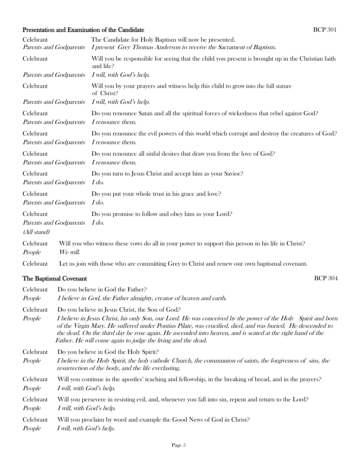# Presentation and Examination of the Candidate BCP 301

| Celebrant<br><b>Parents and Godparents</b>                |                                                                                                                | The Candidate for Holy Baptism will now be presented.<br>I present Grey Thomas Anderson to receive the Sacrament of Baptism. |
|-----------------------------------------------------------|----------------------------------------------------------------------------------------------------------------|------------------------------------------------------------------------------------------------------------------------------|
| Celebrant                                                 |                                                                                                                | Will you be responsible for seeing that the child you present is brought up in the Christian faith<br>and life?              |
| Parents and Godparents                                    |                                                                                                                | I will, with God's help.                                                                                                     |
| Celebrant                                                 |                                                                                                                | Will you by your prayers and witness help this child to grow into the full stature<br>of Christ?                             |
| Parents and Godparents                                    |                                                                                                                | I will, with God's help.                                                                                                     |
| Celebrant<br><b>Parents and Godparents</b>                |                                                                                                                | Do you renounce Satan and all the spiritual forces of wickedness that rebel against God?<br>I renounce them.                 |
| Celebrant<br><b>Parents and Godparents</b>                |                                                                                                                | Do you renounce the evil powers of this world which corrupt and destroy the creatures of God?<br>I renounce them.            |
| Celebrant<br><b>Parents and Godparents</b>                |                                                                                                                | Do you renounce all sinful desires that draw you from the love of God?<br>I renounce them.                                   |
| Celebrant<br>Parents and Godparents                       |                                                                                                                | Do you turn to Jesus Christ and accept him as your Savior?<br>Ido.                                                           |
| Celebrant<br>Parents and Godparents                       |                                                                                                                | Do you put your whole trust in his grace and love?<br>Ido.                                                                   |
| Celebrant<br><b>Parents and Godparents</b><br>(All stand) |                                                                                                                | Do you promise to follow and obey him as your Lord?<br>Ido.                                                                  |
| Celebrant<br>People                                       | Will you who witness these vows do all in your power to support this person in his life in Christ?<br>We will. |                                                                                                                              |
| Celebrant                                                 | Let us join with those who are committing Grey to Christ and renew our own baptismal covenant.                 |                                                                                                                              |

# The Baptismal Covenant BCP 304

| Celebrant           | Do you believe in God the Father?                                                                                                                                                                                                                                                                                                                                                                                                                          |  |
|---------------------|------------------------------------------------------------------------------------------------------------------------------------------------------------------------------------------------------------------------------------------------------------------------------------------------------------------------------------------------------------------------------------------------------------------------------------------------------------|--|
| People              | I believe in God, the Father almighty, creator of heaven and earth.                                                                                                                                                                                                                                                                                                                                                                                        |  |
| Celebrant<br>People | Do you believe in Jesus Christ, the Son of God?<br>I believe in Jesus Christ, his only Son, our Lord. He was conceived by the power of the Holy Spirit and born<br>of the Virgin Mary. He suffered under Pontius Pilate, was crucified, died, and was buried. He descended to<br>the dead. On the third day he rose again. He ascended into heaven, and is seated at the right hand of the<br>Father. He will come again to judge the living and the dead. |  |
| Celebrant<br>People | Do you believe in God the Holy Spirit?<br>I believe in the Holy Spirit, the holy catholic Church, the communion of saints, the forgiveness of sins, the<br>resurrection of the body, and the life everlasting.                                                                                                                                                                                                                                             |  |
| Celebrant           | Will you continue in the apostles' teaching and fellowship, in the breaking of bread, and in the prayers?                                                                                                                                                                                                                                                                                                                                                  |  |
| People              | I will, with God's help.                                                                                                                                                                                                                                                                                                                                                                                                                                   |  |
| Celebrant           | Will you persevere in resisting evil, and, whenever you fall into sin, repent and return to the Lord?                                                                                                                                                                                                                                                                                                                                                      |  |
| People              | I will, with God's help.                                                                                                                                                                                                                                                                                                                                                                                                                                   |  |
| Celebrant           | Will you proclaim by word and example the Good News of God in Christ?                                                                                                                                                                                                                                                                                                                                                                                      |  |
| People              | I will, with God's help.                                                                                                                                                                                                                                                                                                                                                                                                                                   |  |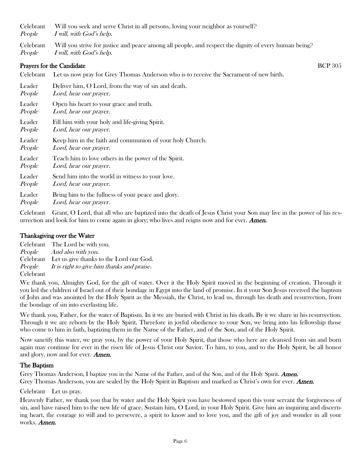Celebrant Will you seek and serve Christ in all persons, loving your neighbor as yourself? People I will, with God's help. Celebrant Will you strive for justice and peace among all people, and respect the dignity of every human being? People I will, with God's help. **Prayers for the Candidate** BCP 305 Celebrant Let us now pray for Grey Thomas Anderson who is to receive the Sacrament of new birth. Leader Deliver him, O Lord, from the way of sin and death. People Lord, hear our prayer. Leader Open his heart to your grace and truth. People Lord, hear our prayer. Leader Fill him with your holy and life-giving Spirit. People Lord, hear our prayer. Leader Keep him in the faith and communion of your holy Church. People Lord, hear our prayer. Leader Teach him to love others in the power of the Spirit. People Lord, hear our prayer. Leader Send him into the world in witness to your love. People Lord, hear our prayer. Leader Bring him to the fullness of your peace and glory.

People Lord, hear our prayer.

Celebrant Grant, O Lord, that all who are baptized into the death of Jesus Christ your Son may live in the power of his resurrection and look for him to come again in glory; who lives and reigns now and for ever. **Amen.** 

# Thanksgiving over the Water

Celebrant The Lord be with you. People And also with you. Celebrant Let us give thanks to the Lord our God. People It is right to give him thanks and praise. Celebrant

We thank you, Almighty God, for the gift of water. Over it the Holy Spirit moved in the beginning of creation. Through it you led the children of Israel out of their bondage in Egypt into the land of promise. In it your Son Jesus received the baptism of John and was anointed by the Holy Spirit as the Messiah, the Christ, to lead us, through his death and resurrection, from the bondage of sin into everlasting life.

We thank you, Father, for the water of Baptism. In it we are buried with Christ in his death. By it we share in his resurrection. Through it we are reborn by the Holy Spirit. Therefore in joyful obedience to your Son, we bring into his fellowship those who come to him in faith, baptizing them in the Name of the Father, and of the Son, and of the Holy Spirit.

Now sanctify this water, we pray you, by the power of your Holy Spirit, that those who here are cleansed from sin and born again may continue for ever in the risen life of Jesus Christ our Savior. To him, to you, and to the Holy Spirit, be all honor and glory, now and for ever. **Amen.** 

# The Baptism

Grey Thomas Anderson, I baptize you in the Name of the Father, and of the Son, and of the Holy Spirit. **Amen.** Grey Thomas Anderson, you are sealed by the Holy Spirit in Baptism and marked as Christ's own for ever. Amen.

# Celebrant Let us pray.

Heavenly Father, we thank you that by water and the Holy Spirit you have bestowed upon this your servant the forgiveness of sin, and have raised him to the new life of grace. Sustain him, O Lord, in your Holy Spirit. Give him an inquiring and discerning heart, the courage to will and to persevere, a spirit to know and to love you, and the gift of joy and wonder in all your works. Amen.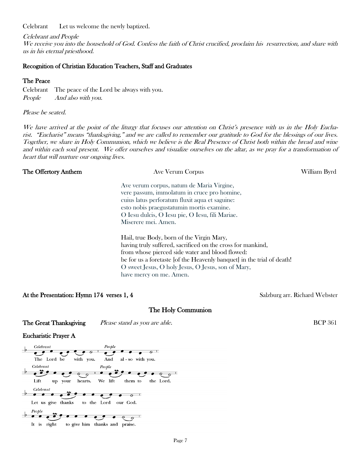Celebrant Let us welcome the newly baptized.

Celebrant and People

We receive you into the household of God. Confess the faith of Christ crucified, proclaim his resurrection, and share with us in his eternal priesthood.

# Recognition of Christian Education Teachers, Staff and Graduates

# The Peace

Celebrant The peace of the Lord be always with you. People And also with you.

Please be seated.

We have arrived at the point of the liturgy that focuses our attention on Christ's presence with us in the Holy Eucharist. "Eucharist" means "thanksgiving," and we are called to remember our gratitude to God for the blessings of our lives. Together, we share in Holy Communion, which we believe is the Real Presence of Christ both within the bread and wine and within each soul present. We offer ourselves and visualize ourselves on the altar, as we pray for a transformation of heart that will nurture our ongoing lives.

### The Offertory Anthem Ave Verum Corpus Anthen Ave Verum Corpus William Byrd

Ave verum corpus, natum de Maria Virgine, vere passum, immolatum in cruce pro homine, cuius latus perforatum fluxit aqua et saguine: esto nobis praegustatumin mortis examine. O Iesu dulcis, O Iesu pie, O Iesu, fili Mariae. Miserere mei. Amen.

Hail, true Body, born of the Virgin Mary, having truly suffered, sacrificed on the cross for mankind, from whose pierced side water and blood flowed: be for us a foretaste [of the Heavenly banquet] in the trial of death! O sweet Jesus, O holy Jesus, O Jesus, son of Mary, have mercy on me. Amen.

# At the Presentation: Hymn 174 verses 1, 4 Salzburg arr. Richard Webster

### The Holy Communion

The Great Thanksgiving Please stand as you are able. BCP 361

### Eucharistic Prayer A

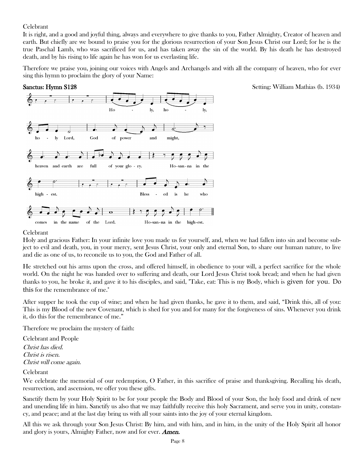#### Celebrant

It is right, and a good and joyful thing, always and everywhere to give thanks to you, Father Almighty, Creator of heaven and earth. But chiefly are we bound to praise you for the glorious resurrection of your Son Jesus Christ our Lord; for he is the true Paschal Lamb, who was sacrificed for us, and has taken away the sin of the world. By his death he has destroyed death, and by his rising to life again he has won for us everlasting life.

Therefore we praise you, joining our voices with Angels and Archangels and with all the company of heaven, who for ever sing this hymn to proclaim the glory of your Name:



#### Celebrant

Holy and gracious Father: In your infinite love you made us for yourself, and, when we had fallen into sin and become subject to evil and death, you, in your mercy, sent Jesus Christ, your only and eternal Son, to share our human nature, to live and die as one of us, to reconcile us to you, the God and Father of all.

He stretched out his arms upon the cross, and offered himself, in obedience to your will, a perfect sacrifice for the whole world. On the night he was handed over to suffering and death, our Lord Jesus Christ took bread; and when he had given thanks to you, he broke it, and gave it to his disciples, and said, "Take, eat: This is my Body, which is given for you. Do this for the remembrance of me."

After supper he took the cup of wine; and when he had given thanks, he gave it to them, and said, "Drink this, all of you: This is my Blood of the new Covenant, which is shed for you and for many for the forgiveness of sins. Whenever you drink it, do this for the remembrance of me."

Therefore we proclaim the mystery of faith:

Celebrant and People Christ has died. Christ is risen. Christ will come again.

Celebrant

We celebrate the memorial of our redemption, O Father, in this sacrifice of praise and thanksgiving. Recalling his death, resurrection, and ascension, we offer you these gifts.

Sanctify them by your Holy Spirit to be for your people the Body and Blood of your Son, the holy food and drink of new and unending life in him. Sanctify us also that we may faithfully receive this holy Sacrament, and serve you in unity, constancy, and peace; and at the last day bring us with all your saints into the joy of your eternal kingdom.

All this we ask through your Son Jesus Christ: By him, and with him, and in him, in the unity of the Holy Spirit all honor and glory is yours, Almighty Father, now and for ever. **Amen.**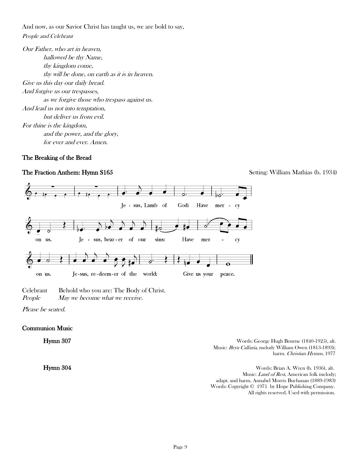And now, as our Savior Christ has taught us, we are bold to say, People and Celebrant

Our Father, who art in heaven, hallowed be thy Name, thy kingdom come, thy will be done, on earth as it is in heaven. Give us this day our daily bread. And forgive us our trespasses, as we forgive those who trespass against us. And lead us not into temptation, but deliver us from evil. For thine is the kingdom, and the power, and the glory, for ever and ever. Amen.

# The Breaking of the Bread

#### The Fraction Anthem: Hymn S165 Setting: William Mathias (b. 1934)





| Celebrant | Behold who you are: The Body of Christ. |
|-----------|-----------------------------------------|
| People    | May we become what we receive.          |

Please be seated.

#### Communion Music

 Hymn 307 Words: George Hugh Bourne (1840-1925), alt. Music: Bryn Calfaria, melody William Owen (1813-1893); harm. Christian Hymns, 1977

 Hymn 304 Words: Brian A. Wren (b. 1936), alt. Music: Land of Rest, American folk melody; adapt. and harm. Annabel Morris Buchanan (1889-1983) Words: Copyright © 1971 by Hope Publishing Company. All rights reserved. Used with permission.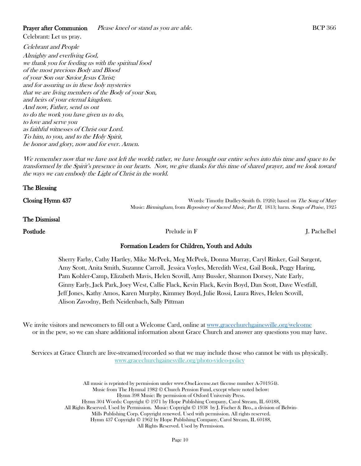#### **Prayer after Communion** Please kneel or stand as you are able. BCP 366

Celebrant: Let us pray.

Celebrant and People Almighty and everliving God, we thank you for feeding us with the spiritual food of the most precious Body and Blood of your Son our Savior Jesus Christ; and for assuring us in these holy mysteries that we are living members of the Body of your Son, and heirs of your eternal kingdom. And now, Father, send us out to do the work you have given us to do, to love and serve you as faithful witnesses of Christ our Lord. To him, to you, and to the Holy Spirit, be honor and glory, now and for ever. Amen.

We remember now that we have not left the world; rather, we have brought our entire selves into this time and space to be transformed by the Spirit's presence in our hearts. Now, we give thanks for this time of shared prayer, and we look toward the ways we can embody the Light of Christ in the world.

#### The Blessing

| Closing Hymn 437 | Words: Timothy Dudley-Smith (b. 1926); based on <i>The Song of Mary</i>                                                |
|------------------|------------------------------------------------------------------------------------------------------------------------|
|                  | Music: <i>Birmingham</i> , from <i>Repository of Sacred Music, Part II</i> , 1813; harm. <i>Songs of Praise</i> , 1925 |
| The Dismissal    |                                                                                                                        |

Postlude **Prelude** Prelude in F Theorem and Theorem States of Theorem States of Theorem States and Theorem States of Theorem States and Theorem States of Theorem States and Theorem States and Theorem States and Theorem Sta

## Formation Leaders for Children, Youth and Adults

Sherry Farhy, Cathy Hartley, Mike McPeek, Meg McPeek, Donna Murray, Caryl Rinker, Gail Sargent, Amy Scott, Anita Smith, Suzanne Carroll, Jessica Voyles, Meredith West, Gail Bouk, Peggy Haring, Pam Kohler-Camp, Elizabeth Mavis, Helen Scovill, Amy Bussler, Shannon Dorsey, Nate Early, Ginny Early, Jack Park, Joey West, Callie Flack, Kevin Flack, Kevin Boyd, Dan Scott, Dave Westfall, Jeff Jones, Kathy Amos, Karen Murphy, Kimmey Boyd, Julie Rossi, Laura Rives, Helen Scovill, Alison Zavodny, Beth Neidenbach, Sally Pittman

We invite visitors and newcomers to fill out a Welcome Card, online at [www.gracechurchgainesville.org/welcome](http://www.gracechurchgainesville.org/welcome) or in the pew, so we can share additional information about Grace Church and answer any questions you may have.

Services at Grace Church are live-streamed/recorded so that we may include those who cannot be with us physically. [www.gracechurchgainesville.org/photo-video-policy](http://www.gracechurchgainesville.org/photo-video-policy)

> All music is reprinted by permission under www.OneLicense.net (license number A-701954). Music from The Hymnal 1982 © Church Pension Fund, except where noted below: Hymn 398 Music: By permission of Oxford University Press. Hymn 304 Words: Copyright © 1971 by Hope Publishing Company, Carol Stream, IL 60188, All Rights Reserved. Used by Permission. Music: Copyright © 1938 by J. Fischer & Bro., a division of Belwin-Mills Publishing Corp. Copyright renewed. Used with permission. All rights reserved. Hymn 437 Copyright © 1962 by Hope Publishing Company, Carol Stream, IL 60188,

All Rights Reserved. Used by Permission.